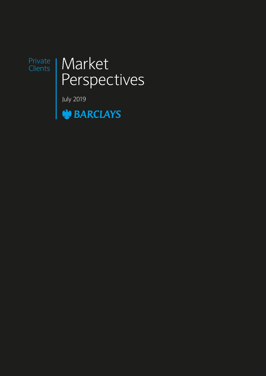

# Market Perspectives

July 2019

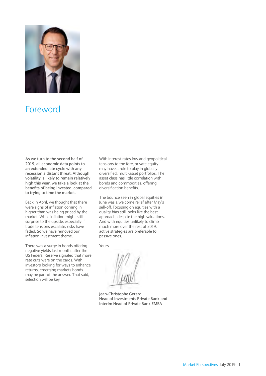

## Foreword

**As we turn to the second half of 2019, all economic data points to an extended late cycle with any recession a distant threat. Although volatility is likely to remain relatively high this year, we take a look at the benefits of being invested, compared to trying to time the market.**

Back in April, we thought that there were signs of inflation coming in higher than was being priced by the market. While inflation might still surprise to the upside, especially if trade tensions escalate, risks have faded. So we have removed our inflation investment theme.

There was a surge in bonds offering negative yields last month, after the US Federal Reserve signaled that more rate cuts were on the cards. With investors looking for ways to enhance returns, emerging markets bonds may be part of the answer. That said, selection will be key.

With interest rates low and geopolitical tensions to the fore, private equity may have a role to play in globallydiversified, multi-asset portfolios. The asset class has little correlation with bonds and commodities, offering diversification benefits.

The bounce seen in global equities in June was a welcome relief after May's sell-off. Focusing on equities with a quality bias still looks like the best approach, despite the high valuations. And with equities unlikely to climb much more over the rest of 2019, active strategies are preferable to passive ones.

Yours

**Jean-Christophe Gerard Head of Investments Private Bank and Interim Head of Private Bank EMEA**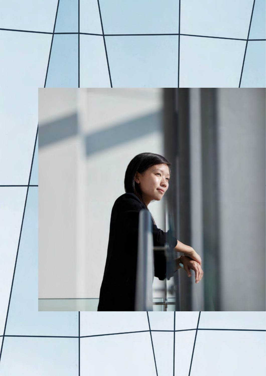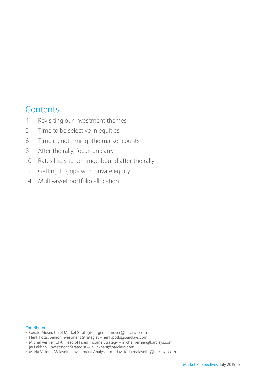## **Contents**

- 4 [Revisiting our investment themes](#page-5-0)
- 5 [Time to be selective in equities](#page-6-0)
- 6 [Time in, not timing, the market counts](#page-7-0)
- 8 [After the rally, focus on carry](#page-9-0)
- 10 [Rates likely to be range-bound after the rally](#page-11-0)
- 12 [Getting to grips with private equity](#page-13-0)
- 14 [Multi-asset portfolio allocation](#page-15-0)

### **Contributors**

- Gerald Moser, Chief Market Strategist gerald.moser@barclays.com
- Henk Potts, Senior Investment Strategist henk.potts@barclays.com
- Michel Vernier, CFA, Head of Fixed Income Strategy michel.vernier@barclays.com
- Jai Lakhani, Investment Strategist jai.lakhani@barclays.com
- Maria Vittoria Malavolta, Investment Analyst mariavittoria.malavolta@barclays.com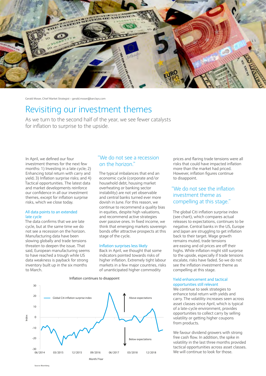<span id="page-5-0"></span>

Gerald Moser, Chief Market Strategist – gerald.moser@barclays.com

## Revisiting our investment themes

As we turn to the second half of the year, we see fewer catalysts for inflation to surprise to the upside.

In April, we defined our four investment themes for the next few months: 1) Investing in a late cycle; 2) Enhancing total return with carry and yield; 3) Inflation surprise risks; and 4) Tactical opportunities. The latest data and market developments reinforce our confidence in all our investment themes, except for inflation surprise risks, which we close today.

#### All data points to an extended late cycle

The data confirms that we are late cycle, but at the same time we do not see a recession on the horizon. Manufacturing data have been slowing globally and trade tensions threaten to deepen the issue. That said, European manufacturing seems to have reached a trough while US data weakness is payback for strong inventory built up in the six months to March.

### "We do not see a recession on the horizon."

The typical imbalances that end an economic cycle (corporate and/or household debt, housing market overheating or banking sector instability) are not yet observable and central banks turned ever more dovish in June. For this reason, we continue to recommend a quality bias in equities, despite high valuations, and recommend active strategies over passive ones. In fixed income, we think that emerging markets sovereign bonds offer attractive prospects at this stage of the cycle.

#### Inflation surprises less likely

Back in April, we thought that some indicators pointed towards risks of higher inflation. Extremely tight labour markets in a few major countries, risks of unanticipated higher commodity



prices and flaring trade tensions were all risks that could have impacted inflation more than the market had priced. However, inflation figures continue to disappoint.

### "We do not see the inflation investment theme as compelling at this stage."

The global Citi inflation surprise index (see chart), which compares actual releases to expectations, continues to be negative. Central banks in the US, Europe and Japan are struggling to get inflation back to their target. Wage growth remains muted, trade tensions are easing and oil prices are off their highs. While inflation might still surprise to the upside, especially if trade tensions escalate, risks have faded. So we do not see the inflation investment theme as compelling at this stage.

#### Yield enhancement and tactical opportunities still relevant

We continue to seek strategies to enhance total return with yields and carry. The volatility increases seen across asset classes since April, which is typical of a late-cycle environment, provides opportunities to collect carry by selling volatility or getting higher coupons from products.

We favour dividend growers with strong free cash flow. In addition, the spike in volatility in the last three months provided tactical opportunities across asset classes. We will continue to look for those.

Source: Bloomberg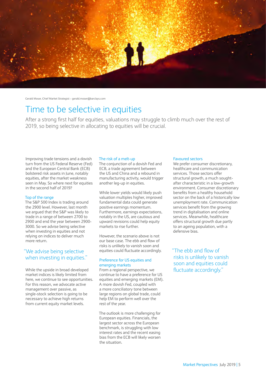<span id="page-6-0"></span>

Gerald Moser, Chief Market Strategist – gerald.moser@barclays.com

## Time to be selective in equities

After a strong first half for equities, valuations may struggle to climb much over the rest of 2019, so being selective in allocating to equities will be crucial.

Improving trade tensions and a dovish turn from the US Federal Reserve (Fed) and the European Central Bank (ECB) bolstered risk assets in June, notably equities, after the market weakness seen in May. So where next for equities in the second half of 2019?

#### Top of the range

The S&P 500 Index is trading around the 2900 level. However, last month we argued that the S&P was likely to trade in a range of between 2700 to 2900 and end the year between 2900- 3000. So we advise being selective when investing in equities and not relying on indices to deliver much more return.

### "We advise being selective when investing in equities."

While the upside in broad developed market indices is likely limited from here, we continue to see opportunities. For this reason, we advocate active management over passive, as single-stock selection is going to be necessary to achieve high returns from current equity market levels.

#### The risk of a melt-up

The conjunction of a dovish Fed and ECB, a trade agreement between the US and China and a rebound in manufacturing activity, would trigger another leg-up in equities.

While lower yields would likely push valuation multiples higher, improved fundamental data could generate positive earnings momentum. Furthermore, earnings expectations, notably in the US, are cautious and upward revisions could help equity markets to rise further.

However, the scenario above is not our base case. The ebb and flow of risks is unlikely to vanish soon and equities could fluctuate accordingly.

#### Preference for US equities and emerging markets

From a regional perspective, we continue to have a preference for US equities and emerging markets (EM). A more dovish Fed, coupled with a more conciliatory tone between large regions on global trade, could help EM to perform well over the rest of the year.

The outlook is more challenging for European equities. Financials, the largest sector across the European benchmark, is struggling with low interest rates and the recent easing bias from the ECB will likely worsen the situation.

#### Favoured sectors

We prefer consumer discretionary, healthcare and communication services. Those sectors offer structural growth, a much soughtafter characteristic in a low-growth environment. Consumer discretionary benefits from a healthy household sector on the back of a historically low unemployment rate. Communication services benefit from the growing trend in digitalisation and online services. Meanwhile, healthcare offers structural growth due partly to an ageing population, with a defensive bias.

"The ebb and flow of risks is unlikely to vanish soon and equities could fluctuate accordingly."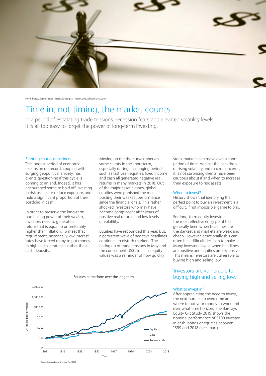<span id="page-7-0"></span>

Henk Potts, Senior Investment Strategist – henk.potts@barclays.com

## Time in, not timing, the market counts

In a period of escalating trade tensions, recession fears and elevated volatility levels, it is all too easy to forget the power of long-term investing.

#### Fighting cautious instincts

The longest period of economic expansion on record, coupled with surging geopolitical anxiety, has clients questioning if this cycle is coming to an end. Indeed, it has encouraged some to hold off investing in risk assets, or reduce exposure, and hold a significant proportion of their portfolio in cash.

In order to preserve the long-term purchasing power of their wealth, investors need to generate a return that is equal to or preferably higher than inflation. To meet that requirement, historically low interest rates have forced many to put money in higher-risk strategies rather than cash deposits.

Moving up the risk curve unnerves some clients in the short term, especially during challenging periods such as last year: equities, fixed income and cash all generated negative real returns in many markets in 2018. Out of the major asset classes, global equities were punished the most, posting their weakest performance since the financial crisis. This rather shocked investors who may have become complacent after years of positive real returns and low levels of volatility.

Equities have rebounded this year. But, a persistent wave of negative headlines continues to disturb markets. The flaring up of trade tensions in May and the consequent US\$2tn fall in equity values was a reminder of how quickly



stock markets can move over a short period of time. Against the backdrop of rising volatility and macro concerns, it is not surprising clients have been cautious about if and when to increase their exposure to risk assets.

#### When to invest?

History shows that identifying the perfect point to buy an investment is a difficult, if not impossible, game to play.

For long-term equity investors, the most effective entry point has generally been when headlines are the darkest and markets are weak and cheap. However, emotionally this can often be a difficult decision to make. Many investors invest when headlines are positive and equities are expensive. This means investors are vulnerable to buying high and selling low.

### "Investors are vulnerable to buying high and selling low."

#### What to invest in?

After appreciating the need to invest, the next hurdles to overcome are where to put your money to work and over what time horizon. The Barclays Equity Gilt Study 2019 shows the nominal performance of £100 invested in cash, bonds or equities between 1899 and 2018 (see chart).

Source: Barclays Equity Gilt Study, April 2019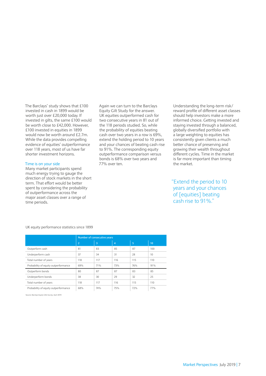The Barclays' study shows that £100 invested in cash in 1899 would be worth just over £20,000 today. If invested in gilts, the same £100 would be worth close to £42,000. However, £100 invested in equities in 1899 would now be worth around £2.7m. While the data provides compelling evidence of equities' outperformance over 118 years, most of us have far shorter investment horizons.

#### Time is on your side

Many market participants spend much energy trying to gauge the direction of stock markets in the short term. That effort would be better spent by considering the probability of outperformance across the major asset classes over a range of time periods.

Again we can turn to the Barclays Equity Gilt Study for the answer. UK equities outperformed cash for two consecutive years in 81 out of the 118 periods studied. So, while the probability of equities beating cash over two years in a row is 69%, extend the holding period to 10 years and your chances of beating cash rise to 91%. The corresponding equity outperformance comparison versus bonds is 68% over two years and 77% over ten.

Understanding the long-term risk/ reward profile of different asset classes should help investors make a more informed choice. Getting invested and staying invested through a balanced, globally diversified portfolio with a large weighting to equities has consistently given clients a much better chance of preserving and growing their wealth throughout different cycles. Time in the market is far more important than timing the market.

"Extend the period to 10 years and your chances of [equities] beating cash rise to 91%."

#### UK equity performance statistics since 1899

|                                      | Number of consecutive years |     |                |     |     |
|--------------------------------------|-----------------------------|-----|----------------|-----|-----|
|                                      | $\overline{2}$              | 3   | $\overline{4}$ | 5   | 10  |
| Outperform cash                      | 81                          | 83  | 85             | 87  | 100 |
| Underperform cash                    | 37                          | 34  | 31             | 28  | 10  |
| Total number of years                | 118                         | 117 | 116            | 115 | 110 |
| Probability of equity outperformance | 69%                         | 71% | 73%            | 76% | 91% |
| Outperform bonds                     | 80                          | 87  | 87             | 83  | 85  |
| Underperform bonds                   | 38                          | 30  | 29             | 32  | 25  |
| Total number of years                | 118                         | 117 | 116            | 115 | 110 |
| Probability of equity outperformance | 68%                         | 74% | 75%            | 72% | 77% |

Source: Barclays Equity Gilts Survey, April 2019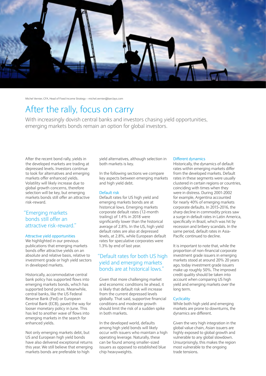<span id="page-9-0"></span>

Michel Vernier, CFA, Head of Fixed Income Strategy – michel.vernier@barclays.com

## After the rally, focus on carry

With increasingly dovish central banks and investors chasing yield opportunities, emerging markets bonds remain an option for global investors.

After the recent bond rally, yields in the developed markets are trading at depressed levels. Investors continue to look for alternatives and emerging markets offer enhanced yields. Volatility will likely increase due to global growth concerns, therefore selection will be key, but emerging markets bonds still offer an attractive risk-reward.

## "Emerging markets bonds still offer an attractive risk-reward."

#### Attractive yield opportunities

We highlighted in our previous publications that emerging markets bonds offer attractive yields on an absolute and relative basis, relative to investment grade or high yield sectors in developed markets.

Historically, accommodative central bank policy has supported flows into emerging markets bonds, which has supported bond prices. Meanwhile, central banks, like the US Federal Reserve Bank (Fed) or European Central Bank (ECB), paved the way for looser monetary policy in June. This has led to another wave of flows into emerging markets in the search for enhanced yields.

Not only emerging markets debt, but US and European high yield bonds have also delivered exceptional returns this year. We still believe that emerging markets bonds are preferable to high

yield alternatives, although selection in both markets is key.

In the following sections we compare key aspects between emerging markets and high yield debt.

#### Default risk

Default rates for US high yield and emerging markets bonds are at historical lows. Emerging markets corporate default rates (12-month trailing) of 1.4% in 2018 were significantly lower than the historical average of 2.8%. In the US, high yield default rates are also at depressed levels, at 2.8%, while European default rates for speculative corporates were 1.3% by end of last year.

## "Default rates for both US high yield and emerging markets bonds are at historical lows."

Given that more challenging market and economic conditions lie ahead, it is likely that default risk will increase from the current depressed levels globally. That said, supportive financial conditions and moderate growth should limit the risk of a sudden spike in both markets.

In the developed world, defaults among high yield bonds will likely occur with issuers who maintain a high operating leverage. Naturally, these can be found among smaller-sized issuers as opposed to established blue chip heavyweights.

#### Different dynamics

Historically, the dynamics of default rates within emerging markets differ from the developed markets. Default rates in these segments were usually clustered in certain regions or countries, coinciding with times when they were in distress. During 2001-2002 for example, Argentina accounted for nearly 40% of emerging markets corporate defaults. In 2015-2016, the sharp decline in commodity prices saw a surge in default rates in Latin America, specifically in Brazil, which was hit by recession and bribery scandals. In the same period, default rates in Asia-Pacific continued to decline.

It is important to note that, while the proportion of non-financial corporate investment grade issuers in emerging markets stood at around 20% 20 years ago, today investment grade issuers make up roughly 50%. The improved credit quality should be taken into account when comparing US high yield and emerging markets over the long term.

#### **Cyclicality**

While both high yield and emerging markets are prone to downturns, the dynamics are different.

Given the very high integration in the global value chain, Asian issuers are highly exposed to global growth and vulnerable to any global slowdown. Unsurprisingly, this makes the region most vulnerable to the ongoing trade tensions.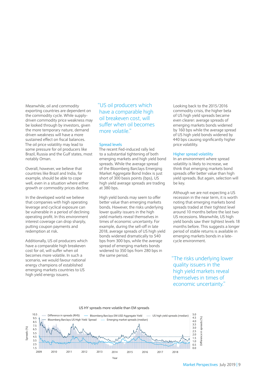Meanwhile, oil and commodity exporting countries are dependent on the commodity cycle. While supplydriven commodity price weakness may be looked through by investors, given the more temporary nature, demand driven weakness will have a more sustained effect on fiscal balances. The oil price volatility may lead to some pressure for oil producers like Brazil, Russia and the Gulf states, most notably Oman.

Overall, however, we believe that countries like Brazil and India, for example, should be able to cope well, even in a situation where either growth or commodity prices decline.

In the developed world we believe that companies with high operating leverage and cyclical exposure can be vulnerable in a period of declining operating profit. In this environment interest coverage can drop sharply, putting coupon payments and redemption at risk.

Additionally, US oil producers which have a comparable high breakeven cost for oil, will suffer when oil becomes more volatile. In such a scenario, we would favour national energy champions of established emerging markets countries to US high yield energy issuers.

### "US oil producers which have a comparable high oil breakeven cost, will suffer when oil becomes more volatile."

#### Spread levels

The recent Fed-induced rally led to a substantial tightening of both emerging markets and high yield bond spreads. While the average spread of the Bloomberg Barclays Emerging Market Aggregate Bond Index is just short of 300 basis points (bps), US high yield average spreads are trading at 380 bps.

High yield bonds may seem to offer better value than emerging markets bonds. However, the risks underlying lower quality issuers in the high yield markets reveal themselves in times of economic uncertainty. For example, during the sell-off in late 2018, average spreads of US high yield bonds widened dramatically to 540 bps from 300 bps, while the average spread of emerging markets bonds widened to 350 bps from 280 bps in

Looking back to the 2015/2016 commodity crisis, the higher beta of US high yield spreads became even clearer: average spreads of emerging markets bonds widened by 160 bps while the average spread of US high yield bonds widened by 440 bps causing significantly higher price volatility.

#### Higher spread volatility

In an environment where spread volatility is likely to increase, we think that emerging markets bond spreads offer better value than high yield spreads. But again, selection will be key.

Although we are not expecting a US recession in the near term, it is worth noting that emerging markets bond spreads traded at their tightest level around 10 months before the last two US recessions. Meanwhile, US high yield bonds saw their tightest levels 18 months before. This suggests a longer period of stable returns is available in emerging markets bonds in a latecycle environment.

the same period. "The risks underlying lower quality issuers in the high yield markets reveal themselves in times of economic uncertainty."



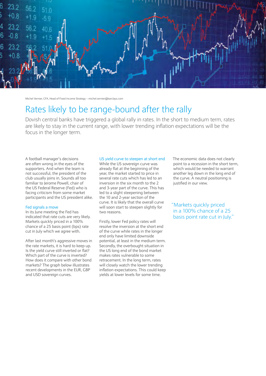<span id="page-11-0"></span>

Michel Vernier, CFA, Head of Fixed Income Strategy – michel.vernier@barclays.com

## Rates likely to be range-bound after the rally

Dovish central banks have triggered a global rally in rates. In the short to medium term, rates are likely to stay in the current range, with lower trending inflation expectations will be the focus in the longer term.

A football manager's decisions are often wrong in the eyes of the supporters. And when the team is not successful, the president of the club usually joins in. Sounds all too familiar to Jerome Powell, chair of the US Federal Reserve (Fed) who is facing criticism from some market participants and the US president alike.

#### Fed signals a move

In its June meeting the Fed has indicated that rate cuts are very likely. Markets quickly priced in a 100% chance of a 25 basis point (bps) rate cut in July which we agree with.

After last month's aggressive moves in the rate markets, it is hard to keep up. Is the yield curve still inverted or flat? Which part of the curve is inverted? How does it compare with other bond markets? The graph below illustrates recent developments in the EUR, GBP and USD sovereign curves.

#### US yield curve to steepen at short end

While the US sovereign curve was already flat at the beginning of the year, the market started to price in several rate cuts which has led to an inversion in the six month to the 2 and 3-year part of the curve. This has led to a slight steepening between the 10 and 2-year section of the curve. It is likely that the overall curve will soon start to steepen slightly for two reasons.

Firstly, lower Fed policy rates will resolve the inversion at the short end of the curve while rates in the longer end only have limited downside potential, at least in the medium term. Secondly, the overbought situation in the US long end of the bond market makes rates vulnerable to some retracement. In the long term, rates will closely watch the lower trending inflation expectations. This could keep yields at lower levels for some time.

The economic data does not clearly point to a recession in the short term, which would be needed to warrant another leg down in the long end of the curve. A neutral positioning is justified in our view.

"Markets quickly priced in a 100% chance of a 25 basis point rate cut in July."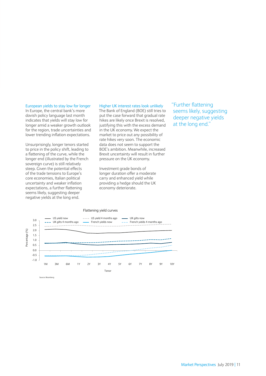European yields to stay low for longer In Europe, the central bank's more dovish policy language last month indicates that yields will stay low for longer amid a weaker growth outlook for the region, trade uncertainties and lower trending inflation expectations.

Unsurprisingly, longer tenors started to price in the policy shift, leading to a flattening of the curve, while the longer end (illustrated by the French sovereign curve) is still relatively steep. Given the potential effects of the trade tensions to Europe's core economies, Italian political uncertainty and weaker inflation expectations, a further flattening seems likely, suggesting deeper negative yields at the long end.

#### Higher UK interest rates look unlikely

The Bank of England (BOE) still tries to put the case forward that gradual rate hikes are likely once Brexit is resolved, justifying this with the excess demand in the UK economy. We expect the market to price out any possibility of rate hikes very soon. The economic data does not seem to support the BOE's ambition. Meanwhile, increased Brexit uncertainty will result in further pressure on the UK economy.

Investment grade bonds of longer duration offer a moderate carry and enhanced yield while providing a hedge should the UK economy deteriorate.

"Further flattening seems likely, suggesting deeper negative yields at the long end."

#### Flattening yield curves



Source: Bloomberg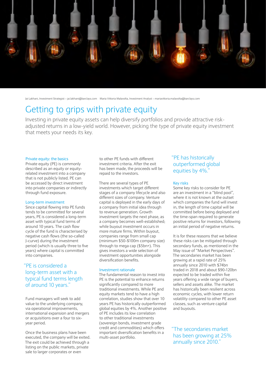<span id="page-13-0"></span>

Jai Lakhani, Investment Strategist – jai.lakhani@barclays.com Maria Vittoria Malavolta, Investment Analyst – mariavittoria.malavolta@barclays.com

## Getting to grips with private equity

Investing in private equity assets can help diversify portfolios and provide attractive riskadjusted returns in a low-yield world. However, picking the type of private equity investment that meets your needs its key.

#### Private equity: the basics

Private equity (PE) is commonly described as an equity or equityrelated investment into a company that is not publicly listed. PE can be accessed by direct investment into private companies or indirectly through fund exposure.

#### Long-term investment

Since capital flowing into PE funds tends to be committed for several years, PE is considered a long-term asset with typical fund terms of around 10 years. The cash flow cycle of the fund is characterised by negative cash flows (the so-called J-curve) during the investment period (which is usually three to five years) where capital is committed into companies.

### "PE is considered a long-term asset with a typical fund terms length of around 10 years."

Fund managers will seek to add value to the underlying company, via operational improvements, international expansion and mergers or acquisitions over a four to sixyear period.

Once the business plans have been executed, the company will be exited. The exit could be achieved through a listing on the public markets, private sale to larger corporates or even

to other PE funds with different investment criteria. After the exit has been made, the proceeds will be repaid to the investors.

There are several types of PE investments which target different stages of a company lifecycle and also different sizes of company. Venture capital is deployed in the early days of a company from initial idea through to revenue generation. Growth investment targets the next phase, as a company becomes well-established; while buyout investment occurs in more mature firms. Within buyout, companies range from small cap (minimum \$50-\$100m company size) through to mega cap (\$5bn+). This gives investors a wide selection of investment opportunities alongside diversification benefits.

#### Investment rationale

The fundamental reason to invest into PE is the potential to enhance returns significantly compared to more traditional investments. While PE and equity markets tend to have a high correlation, studies show that over 10 years PE has historically outperformed global equities by 4%. Another positive of PE includes its low correlation to other traditional investments (sovereign bonds, investment grade credit and commodities) which offers important diversification benefits in a multi-asset portfolio.

### "PE has historically outperformed global equities by 4%."

#### Key risks

Some key risks to consider for PE are an investment in a "blind pool", where it is not known at the outset which companies the fund will invest in, the length of time capital will be committed before being deployed and the time-span required to generate positive returns for investors, following an initial period of negative returns.

It is for these reasons that we believe these risks can be mitigated through secondary funds, as mentioned in the May issue of "Market Perspectives". The secondaries market has been growing at a rapid rate of 25% annually since 2010 with \$74bn traded in 2018 and about \$90-120bn expected to be traded within five years offering a wide range of buyers, sellers and assets alike. The market has historically been resilient across economic cycles, with lower return volatility compared to other PE asset classes, such as venture capital and buyouts.

"The secondaries market has been growing at 25% annually since 2010."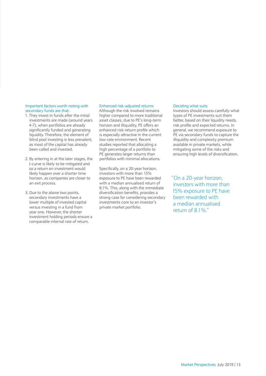#### Important factors worth noting with secondary funds are that:

- 1. They invest in funds after the initial investments are made (around years 4-7), when portfolios are already significantly funded and generating liquidity. Therefore, the element of blind pool investing is less prevalent, as most of the capital has already been called and invested.
- 2. By entering in at the later stages, the J-curve is likely to be mitigated and so a return on investment would likely happen over a shorter time horizon, as companies are closer to an exit process.
- 3. Due to the above two points, secondary investments have a lower multiple of invested capital versus investing in a fund from year one. However, the shorter investment holding periods ensure a comparable internal rate of return.

#### Enhanced risk-adjusted returns

Although the risk involved remains higher compared to more traditional asset classes, due to PE's long-term horizon and illiquidity, PE offers an enhanced risk-return profile which is especially attractive in the current low-rate environment. Recent studies reported that allocating a high percentage of a portfolio to PE generates larger returns than portfolios with minimal allocations.

Specifically, on a 20-year horizon, investors with more than 15% exposure to PE have been rewarded with a median annualised return of 8.1%. This, along with the immediate diversification benefits, provides a strong case for considering secondary investments core to an investor's private market portfolio.

#### Deciding what suits

Investors should assess carefully what types of PE investments suit them better, based on their liquidity needs. risk profile and expected returns. In general, we recommend exposure to PE via secondary funds to capture the illiquidity and complexity premium available in private markets, while mitigating some of the risks and ensuring high levels of diversification.

"On a 20-year horizon, investors with more than 15% exposure to PE have been rewarded with a median annualised return of 8.1%."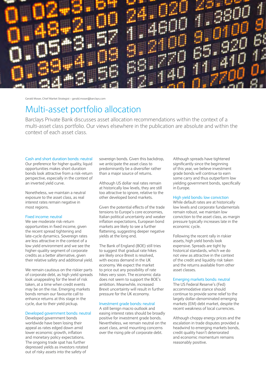<span id="page-15-0"></span>

Gerald Moser, Chief Market Strategist – gerald.moser@barclays.com

## Multi-asset portfolio allocation

Barclays Private Bank discusses asset allocation recommendations within the context of a multi-asset class portfolio. Our views elsewhere in the publication are absolute and within the context of each asset class.

Cash and short duration bonds: neutral Our preference for higher quality, liquid opportunities makes short duration bonds look attractive from a risk-return perspective, especially in the context of an inverted yield curve.

Nonetheless, we maintain a neutral exposure to the asset class, as real interest rates remain negative in most regions.

#### Fixed income: neutral

We see moderate risk-return opportunities in fixed income, given the recent spread tightening and late-cycle dynamics. Sovereign rates are less attractive in the context of a low yield environment and we see the higher-quality segment of corporate credits as a better alternative, given their relative safety and additional yield.

We remain cautious on the riskier parts of corporate debt, as high yield spreads look unappealing for the level of risk taken, at a time when credit events may be on the rise. Emerging markets bonds remain our favourite call to enhance returns at this stage in the cycle, due to their yield pickup.

#### Developed government bonds: neutral

Developed government bonds worldwide have been losing their appeal as rates edged down amid lower economic growth, inflation and monetary policy expectations. The ongoing trade spat has further depressed yields as investors rotated out of risky assets into the safety of

sovereign bonds. Given this backdrop, we anticipate the asset class to predominantly be a diversifier rather than a major source of returns.

Although US dollar real rates remain at historically low levels, they are still too attractive to ignore, relative to the other developed bond markets.

Given the potential effects of the trade tensions to Europe's core economies, Italian political uncertainty and weaker inflation expectations, European bond markets are likely to see a further flattening, suggesting deeper negative yields at the long end.

The Bank of England (BOE) still tries to suggest that gradual rate hikes are likely once Brexit is resolved, with excess demand in the UK economy. We expect the market to price out any possibility of rate hikes very soon. The economic data does not seem to support the BOE's ambition. Meanwhile, increased Brexit uncertainty will result in further pressure for the UK economy.

#### Investment grade bonds: neutral

A still benign macro outlook and easing interest rates should be broadly positive for investment grade bonds. Nevertheless, we remain neutral on the asset class, amid mounting concerns over the rising pile of corporate debt.

Although spreads have tightened significantly since the beginning of this year, we believe investment grade bonds will continue to earn some carry and thus outperform low yielding government bonds, specifically in Europe.

#### High yield bonds: low conviction

While default rates are at historically low levels and corporate fundamentals remain robust, we maintain low conviction to the asset class, as margin pressure typically increases late in the economic cycle.

Following the recent rally in riskier assets, high yield bonds look expensive. Spreads are tight by historical standards, which we do not view as attractive in the context of the credit and liquidity risk taken and the returns available from other asset classes.

#### Emerging markets bonds: neutral

The US Federal Reserve's (Fed) accommodative stance should continue to provide some relief to the largely dollar-denominated emerging markets (EM) debt market, despite the recent weakness of local currencies.

Although choppy energy prices and the escalation in trade disputes provided a headwind to emerging markets bonds, credit quality hasn't deteriorated and economic momentum remains reasonably positive.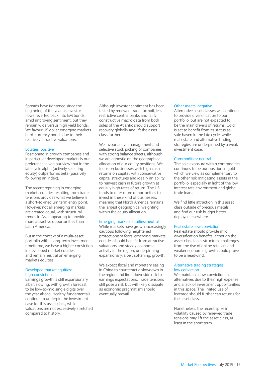Spreads have tightened since the beginning of the year as investor flows reverted back into EM bonds amid improving sentiment, but they remain wide versus high yield bonds. We favour US dollar emerging markets hard-currency bonds due to their relatively attractive valuations.

#### Equities: positive

Positioning in growth companies and in particular developed markets is our preference, given our view that in the late cycle alpha (actively selecting equity) outperforms beta (passively following an index).

The recent repricing in emerging markets equities resulting from trade tensions provides what we believe is a short-to-medium term entry point. However, not all emerging markets are created equal, with structural trends in Asia appearing to provide more attractive opportunities than Latin America.

But in the context of a multi-asset portfolio with a long-term investment timeframe, we have a higher conviction in developed market equities and remain neutral on emerging markets equities.

#### Developed market equities: high conviction

Earnings growth is still expansionary, albeit slowing, with growth forecast to be low-to-mid single digits over the year ahead. Healthy fundamentals continue to underpin the investment case for this asset class, while valuations are not excessively stretched compared to history.

Although investor sentiment has been tested by renewed trade turmoil, less restrictive central banks and fairly constructive macro data from both sides of the Atlantic should support recovery globally and lift the asset class further.

We favour active management and selective stock picking of companies with strong balance sheets, although we are agnostic on the geographical allocation of our equity positions. We focus on businesses with high cash returns on capital, with conservative capital structures and ideally an ability to reinvest cash in future growth at equally high rates of return. The US tends to offer more opportunities to invest in these kind of businesses, meaning that North America remains the largest geographical weighting within the equity allocation.

#### Emerging markets equities: neutral

While markets have grown increasingly cautious following heightened protectionism fears, emerging markets equities should benefit from attractive valuations and steady economic activity in the region, underpinning expansionary, albeit softening, growth.

We expect fiscal and monetary easing in China to counteract a slowdown in the region and limit downside risk to earnings expectations. Trade tensions still pose a risk but will likely dissipate as economic pragmatism should eventually prevail.

#### Other assets: negative

Alternative asset classes will continue to provide diversification to our portfolio, but are not expected to be the main drivers of returns. Gold is set to benefit from its status as safe haven in the late cycle, while real estate and alternative trading strategies are underpinned by a weak investment case.

#### Commodities: neutral

The sole exposure within commodities continues to be our position in gold which we view as complementary to the other risk mitigating assets in the portfolio, especially in light of the low interest rate environment and global trade fears.

We find little attraction in this asset class outside of precious metals and find our risk budget better deployed elsewhere.

#### Real estate: low conviction

Real estate should provide mild diversification benefits, although the asset class faces structural challenges from the rise of online retailers and weaker economic growth could prove to be a headwind.

#### Alternative trading strategies: low conviction

We maintain a low conviction in alternatives due to their high expense and a lack of investment opportunities in this space. The limited use of leverage should further cap returns for the asset class.

Nonetheless, the recent spike in volatility caused by renewed trade tensions may lift the asset class, at least in the short term.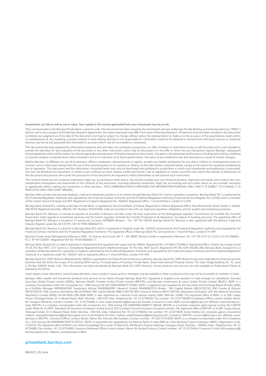**Investments can fall as well as rise in value. Your capital or the income generated from your investment may be at risk.**

This communication is for Barclays Private Bank customers only. This document has been issued by the Investments division at Barclays Private Banking and Overseas Services ("PBOS") division and is not a product of the Barclays Research department. Any views expressed may differ from those of Barclays Research. All opinions and estimates included in this document constitute our judgment as of the date of the document and may be subject to change without notice. No representation is made as to the accuracy of the assumptions made within, or completeness of, any modeling, scenario analysis or back-testing. Barclays is not responsible for information stated to be obtained or derived from third party sources or statistical services, and we do not guarantee the information's accuracy which may be incomplete or condensed.

This document has been prepared for information purposes only and does not constitute a prospectus, an offer, invitation or solicitation to buy or sell securities and is not intended to provide the sole basis for any evaluation of the securities or any other instrument, which may be discussed in it. Any offer or entry into any transaction requires Barclays' subsequent formal agreement which will be subject to internal approvals and execution of binding transaction documents. Any past or simulated past performance including back-testing, modeling or scenario analysis contained herein does not predict and is no indication as to future performance. The value of any investment may also fluctuate as a result of market changes.

Neither Barclays, its affiliates nor any of its directors, officers, employees, representatives or agents, accepts any liability whatsoever for any direct, indirect or consequential losses (in contract, tort or otherwise) arising from the use of this communication or its contents or reliance on the information contained herein, except to the extent this would be prohibited by law or regulation. This document and the information contained herein may only be distributed and published in iurisdictions in which such distribution and publication is permitted. You may not distribute this document, in whole or part, without our prior, express written permission. Law or regulation in certain countries may restrict the manner of distribution of this document and persons who come into possession of this document are required to inform themselves of and observe such restrictions.

The contents herein do not constitute investment, legal, tax, accounting or other advice. You should consider your own financial situation, objectives and needs, and conduct your own independent investigation and assessment of the contents of this document, including obtaining investment, legal, tax, accounting and such other advice as you consider necessary or appropriate, before making any investment or other decision... THIS COMMUNICATION IS PROVIDED FOR INFORMATION PURPOSES ONLY AND IT IS SUBJECT TO CHANGE. IT IS INDICATIVE ONLY AND IS NOT BINDING.

Barclays offers private and overseas banking, credit and investment solutions to its clients through Barclays Bank PLC and its subsidiary companies. Barclays Bank PLC is authorised by the Prudential Regulation Authority and regulated by the Financial Conduct Authority and the Prudential Regulation Authority (Financial Services Register No.122702) and is a member of the London Stock Exchange and NEX. Registered in England. Registered No. 1026167. Registered Office: 1 Churchill Place, London E14 5HP.

Barclays Bank Ireland PLC, trading as Barclays Private Bank, is regulated by the Central Bank of Ireland, Registered in Ireland. Registered Office: One Molesworth Street, Dublin 2, Ireland, D02 RF29. Registered Number: 396330. VAT Number: IE4524196D. Calls are recorded in line with our legal and regulatory obligations, and for quality and monitoring purposes.

Barclays Bank PLC Monaco is licensed to operate its activities in Monaco and falls under the dual supervision of the Monegasque regulator 'Commission de Contrôle des Activités Financières' (with regards to investment services) and the French regulator 'Autorité de Contrôle Prudentiel et de Résolution' (in respect of banking services). The registered office of Barclays Bank PLC Monaco is located at 31 avenue de La Costa, MC98000 Monaco – Tel. +377 93 153535. Barclays Bank PLC Monaco is also registered with the Monaco Trade and Industry Registry under No. 68 S 01191. VAT N° FR40 00002674 9.

Barclays Bank PLC Monaco is a branch of Barclays Bank PLC which is registered in England under No. 1026167, authorised by the Prudential Regulation Authority and regulated by the Financial Conduct Authority and the Prudential Regulation Authority. The registered offices of Barclays Bank PLC are located at 1 Churchill Place, London E14 5HP.

Barclays Private Asset Management (Monaco) SAM - 31 Avenue de la Costa, B.P. 4 - MC 98001 Monaco Cedex is registered in Monaco. Tel. +377 93 10 51 51. S.S.E.E. N° 671C06692 -R.C.I. N° 94 S 03039 – Registered VAT No° FR 00 00003617 7.

Barclays Bank (Suisse) SA is a Bank registered in Switzerland and regulated and supervised by FINMA. Registered No. CH-660.0.118.986-6. Registered Office: Chemin de Grange-Canal 18-20, P.O. Box 3941, 1211 Geneva 3, Switzerland. Registered branch: Beethovenstrasse 19, P.O. Box, 8027 Zurich. Registered VAT No. CHE-106.002.386. Barclays Bank (Suisse) SA is a subsidiary of Barclays Bank PLC registered in England, authorised by the Prudential Regulation Authority and regulated by the Financial Conduct Authority and the Prudential Regulation Authority. It is registered under No. 1026167 and its registered office is 1 Churchill Place, London E14 5HP.

Barclays Bank PLC (DIFC Branch) (Registered No. 0060) is regulated by the Dubai Financial Services Authority. Barclays Bank PLC (DIFC Branch) may only undertake the financial services activities that fall within the scope of its existing DFSA licence. Principal place of business: Private Bank, Dubai International Financial Centre, The Gate Village Building No. 10, Level 6, PO Box 506674, Dubai, UAE. This information has been distributed by Barclays Bank PLC (DIFC Branch). Certain products and services are only available to Professional Clients as defined by the DFSA.

Asset classes, asset allocations, tactical asset allocation views, product classes and/or strategies may be available in other jurisdictions but may not be accessible to investors in India. Barclays offers wealth and investment products and services to its clients through Barclays Bank PLC registered in England and operates in India through its subsidiaries, Barclays Securities (India) Private Limited (BSIPL), Barclays Wealth Trustees (India) Private Limited (BWTIPL) and Barclays Investments & Loans (India) Private Limited (BILIPL). BSIPL is a<br>company incorporated under the Companies A INF231292732, NSE Currency derivatives INE231450334, BSE Capital Market INB011292738, BSE Futures & Options INF011292738, Depository Participant with the National Securities<br>Depository Limited (NSDL) IN-DP-NSDL-299-2008. B Mr. Anupam Mohaney, Contact number: +91 22 61754000, E-mail: bsiplcompliance@barcap.com Investor Grievance E-mail: BSIPL.concerns@barcap.com Website: www.barclays.in/<br>bsipl. BWTIPL is a company incorporated under the Compa under IRDAI for (i) HDFC Standard Life Insurance Company Limited and (ii) ICICI Lombard General Insurance Company Limited. The registered office of BWTIPL is at 208, Ceejay House, Shivsagar Estate, Dr. A. Beasant Road, Worli, Mumbai – 400 018, India. Telephone No: +91 22 67196363. Fax number: +91 22 6719639. Email Address for corporate agency (insurance) matters: xrawealthindiainsura@barclayscapital.com, Email Address for other matters: wealthindiatrust@barclaysasia.com, Grievance: BWTIPL.concerns@barclays.com, Website: www. barclays.in/BWTIPL. Grievance Officer contact details: Name: Ms. Poonam Mirchandani, Contact number: +91 022 6719 6359. BILIPL is a company incorporated under the Companies Act, 1913 having CIN U93090MH1937FTC291521. BILIPL is registered and regulated by the Reserve Bank of India (RBI) as a Non Banking Finance Company (NBFC): Registration no.B-13.02176. The registered office of BILIPL is at. Nirlon Knowledge Park, Level 10, Block B-6, Off Western Express Highway, Goregaon (East), Mumbai – 400063, India. Telephone No: +91 22<br>61754000. Fax number: +91 22 61754099 barclayscapital.com. Website: www.barclays.in/BILIL

#### **privatebank.barclays.com**

IBIM9272\_PB\_India